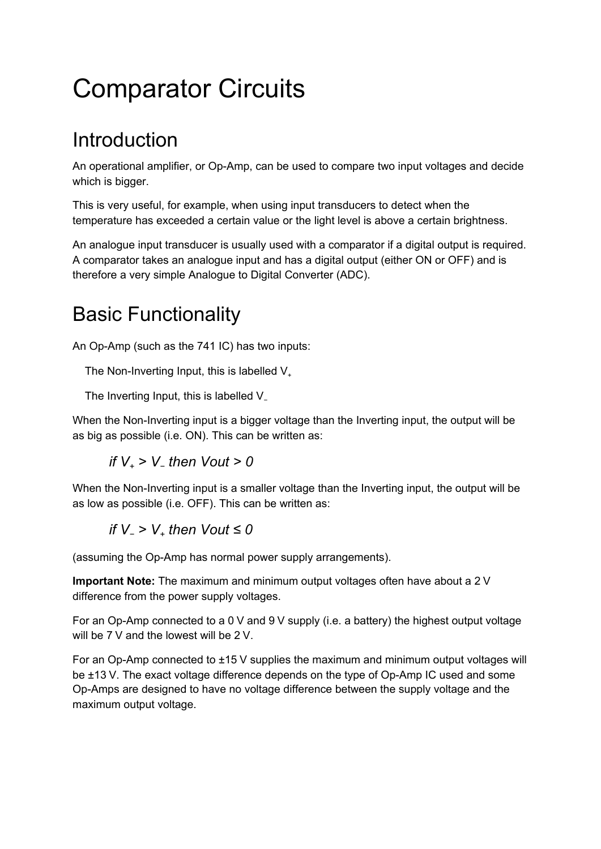# Comparator Circuits

### **Introduction**

An operational amplifier, or Op-Amp, can be used to compare two input voltages and decide which is bigger.

This is very useful, for example, when using input transducers to detect when the temperature has exceeded a certain value or the light level is above a certain brightness.

An analogue input transducer is usually used with a comparator if a digital output is required. A comparator takes an analogue input and has a digital output (either ON or OFF) and is therefore a very simple Analogue to Digital Converter (ADC).

### Basic Functionality

An Op-Amp (such as the 741 IC) has two inputs:

The Non-Inverting Input, this is labelled  $V_+$ 

The Inverting Input, this is labelled V\_

When the Non-Inverting input is a bigger voltage than the Inverting input, the output will be as big as possible (i.e. ON). This can be written as:

if 
$$
V_+ > V_-
$$
 then  $Vout > 0$ 

When the Non-Inverting input is a smaller voltage than the Inverting input, the output will be as low as possible (i.e. OFF). This can be written as:

if 
$$
V_{-} > V_{+}
$$
 then  $Vout \leq 0$ 

(assuming the Op-Amp has normal power supply arrangements).

**Important Note:** The maximum and minimum output voltages often have about a 2 V difference from the power supply voltages.

For an Op-Amp connected to a 0 V and 9 V supply (i.e. a battery) the highest output voltage will be 7 V and the lowest will be 2 V.

For an Op-Amp connected to ±15 V supplies the maximum and minimum output voltages will be ±13 V. The exact voltage difference depends on the type of Op-Amp IC used and some Op-Amps are designed to have no voltage difference between the supply voltage and the maximum output voltage.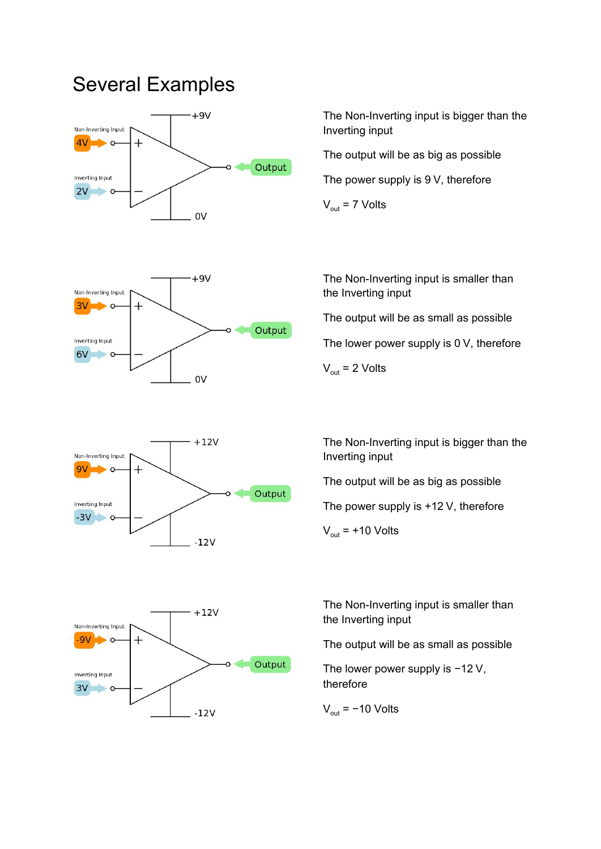### Several Examples

Non-Inverting Input

Inverting Input  $6V$ 

 $\mathbf{C}$ 

 $^{+}$ 

3V



 $+9V$ 

0V

Output

The Non-Inverting input is bigger than the Inverting input

The output will be as big as possible

The power supply is 9 V, therefore

 $V_{\text{out}}$  = 7 Volts

The Non-Inverting input is smaller than the Inverting input

The output will be as small as possible

The lower power supply is 0 V, therefore

 $V_{\text{out}}$  = 2 Volts



The Non-Inverting input is bigger than the Inverting input

The output will be as big as possible

The power supply is +12 V, therefore

 $V_{\text{out}}$  = +10 Volts



The output will be as small as possible

The lower power supply is −12 V, therefore

 $V_{\text{out}}$  = -10 Volts

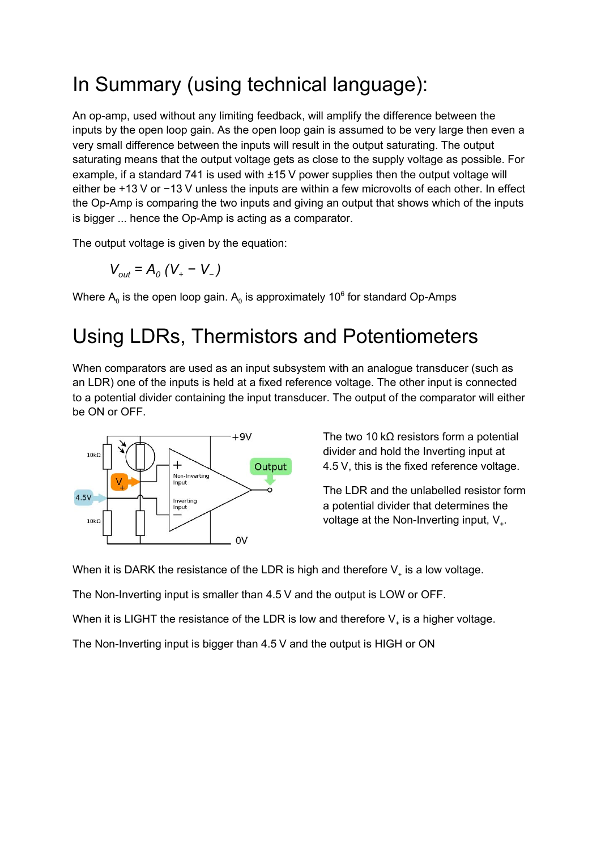### In Summary (using technical language):

An op-amp, used without any limiting feedback, will amplify the difference between the inputs by the open loop gain. As the open loop gain is assumed to be very large then even a very small difference between the inputs will result in the output saturating. The output saturating means that the output voltage gets as close to the supply voltage as possible. For example, if a standard 741 is used with ±15 V power supplies then the output voltage will either be +13 V or −13 V unless the inputs are within a few microvolts of each other. In effect the Op-Amp is comparing the two inputs and giving an output that shows which of the inputs is bigger ... hence the Op-Amp is acting as a comparator.

The output voltage is given by the equation:

$$
V_{out} = A_o (V_{+} - V_{-})
$$

Where  $\mathsf{A}_\mathrm{o}$  is the open loop gain.  $\mathsf{A}_\mathrm{o}$  is approximately 10 $^\mathrm{o}$  for standard Op-Amps

### Using LDRs, Thermistors and Potentiometers

When comparators are used as an input subsystem with an analogue transducer (such as an LDR) one of the inputs is held at a fixed reference voltage. The other input is connected to a potential divider containing the input transducer. The output of the comparator will either be ON or OFF.



The two 10 k $\Omega$  resistors form a potential divider and hold the Inverting input at 4.5 V, this is the fixed reference voltage.

The LDR and the unlabelled resistor form a potential divider that determines the voltage at the Non-Inverting input,  $V_{+}$ .

When it is DARK the resistance of the LDR is high and therefore  $\mathsf{V}_*$  is a low voltage.

The Non-Inverting input is smaller than 4.5 V and the output is LOW or OFF.

When it is LIGHT the resistance of the LDR is low and therefore  $\mathsf{V}_\text{\tiny{+}}$  is a higher voltage.

The Non-Inverting input is bigger than 4.5 V and the output is HIGH or ON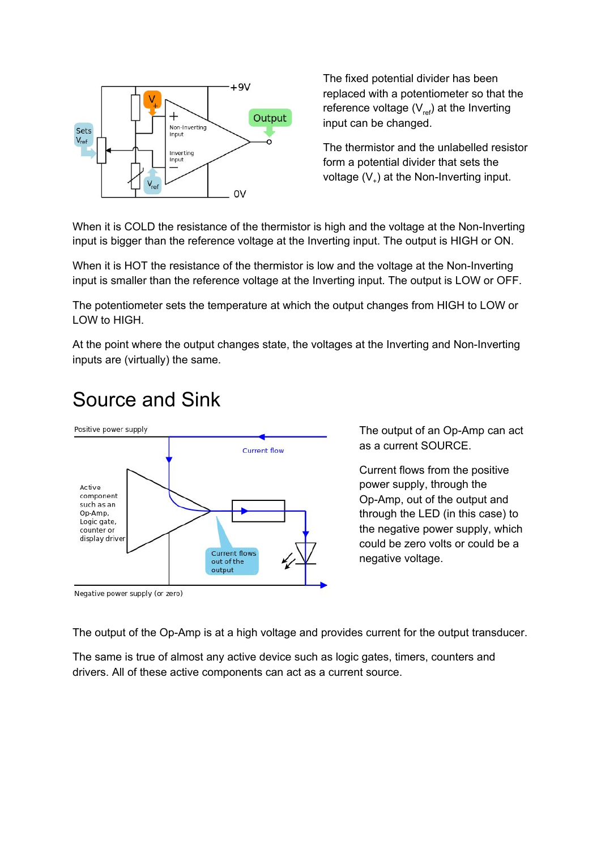

The fixed potential divider has been replaced with a potentiometer so that the reference voltage ( $\mathsf{V}_{\mathsf{ref}}$ ) at the Inverting input can be changed.

The thermistor and the unlabelled resistor form a potential divider that sets the voltage  $(V_+)$  at the Non-Inverting input.

When it is COLD the resistance of the thermistor is high and the voltage at the Non-Inverting input is bigger than the reference voltage at the Inverting input. The output is HIGH or ON.

When it is HOT the resistance of the thermistor is low and the voltage at the Non-Inverting input is smaller than the reference voltage at the Inverting input. The output is LOW or OFF.

The potentiometer sets the temperature at which the output changes from HIGH to LOW or LOW to HIGH.

At the point where the output changes state, the voltages at the Inverting and Non-Inverting inputs are (virtually) the same.

#### Source and Sink



The output of an Op-Amp can act as a current SOURCE.

Current flows from the positive power supply, through the Op-Amp, out of the output and through the LED (in this case) to the negative power supply, which could be zero volts or could be a negative voltage.

Negative power supply (or zero)

The output of the Op-Amp is at a high voltage and provides current for the output transducer.

The same is true of almost any active device such as logic gates, timers, counters and drivers. All of these active components can act as a current source.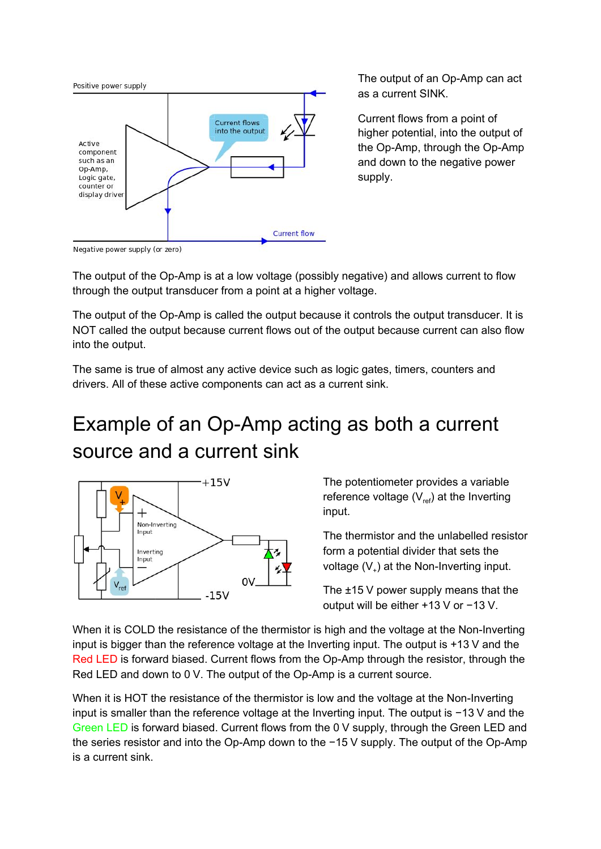

The output of an Op-Amp can act as a current SINK.

Current flows from a point of higher potential, into the output of the Op-Amp, through the Op-Amp and down to the negative power supply.

Negative power supply (or zero)

The output of the Op-Amp is at a low voltage (possibly negative) and allows current to flow through the output transducer from a point at a higher voltage.

The output of the Op-Amp is called the output because it controls the output transducer. It is NOT called the output because current flows out of the output because current can also flow into the output.

The same is true of almost any active device such as logic gates, timers, counters and drivers. All of these active components can act as a current sink.

## Example of an Op-Amp acting as both a current source and a current sink



The potentiometer provides a variable reference voltage ( $\mathsf{V}_{\mathsf{ref}}$ ) at the Inverting input.

The thermistor and the unlabelled resistor form a potential divider that sets the voltage  $(V_+)$  at the Non-Inverting input.

The ±15 V power supply means that the output will be either +13 V or −13 V.

When it is COLD the resistance of the thermistor is high and the voltage at the Non-Inverting input is bigger than the reference voltage at the Inverting input. The output is +13 V and the Red LED is forward biased. Current flows from the Op-Amp through the resistor, through the Red LED and down to 0 V. The output of the Op-Amp is a current source.

When it is HOT the resistance of the thermistor is low and the voltage at the Non-Inverting input is smaller than the reference voltage at the Inverting input. The output is −13 V and the Green LED is forward biased. Current flows from the 0 V supply, through the Green LED and the series resistor and into the Op-Amp down to the −15 V supply. The output of the Op-Amp is a current sink.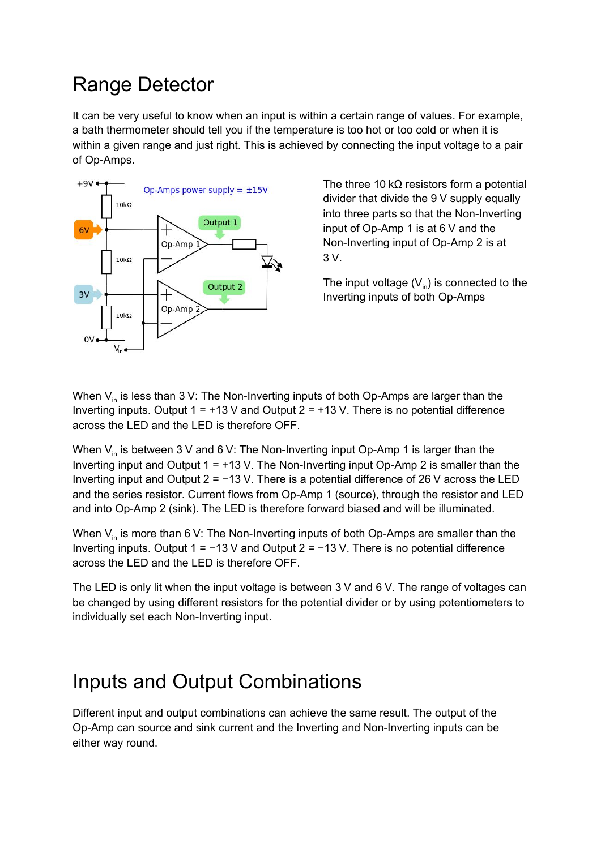### Range Detector

It can be very useful to know when an input is within a certain range of values. For example, a bath thermometer should tell you if the temperature is too hot or too cold or when it is within a given range and just right. This is achieved by connecting the input voltage to a pair of Op-Amps.



The three 10 k $\Omega$  resistors form a potential divider that divide the 9 V supply equally into three parts so that the Non-Inverting input of Op-Amp 1 is at 6 V and the Non-Inverting input of Op-Amp 2 is at 3 V.

The input voltage ( $\mathsf{V}_{\mathsf{in}}$ ) is connected to the Inverting inputs of both Op-Amps

When  $\mathsf{V}_{\mathsf{in}}$  is less than 3 V: The Non-Inverting inputs of both Op-Amps are larger than the Inverting inputs. Output  $1 = +13$  V and Output  $2 = +13$  V. There is no potential difference across the LED and the LED is therefore OFF.

When  $\mathsf{V}_{\mathsf{in}}$  is between 3 V and 6 V: The Non-Inverting input Op-Amp 1 is larger than the Inverting input and Output  $1 = +13$  V. The Non-Inverting input Op-Amp 2 is smaller than the Inverting input and Output 2 = −13 V. There is a potential difference of 26 V across the LED and the series resistor. Current flows from Op-Amp 1 (source), through the resistor and LED and into Op-Amp 2 (sink). The LED is therefore forward biased and will be illuminated.

When  $\mathsf{V}_{\mathsf{in}}$  is more than 6 V: The Non-Inverting inputs of both Op-Amps are smaller than the Inverting inputs. Output 1 = −13 V and Output 2 = −13 V. There is no potential difference across the LED and the LED is therefore OFF.

The LED is only lit when the input voltage is between 3 V and 6 V. The range of voltages can be changed by using different resistors for the potential divider or by using potentiometers to individually set each Non-Inverting input.

### Inputs and Output Combinations

Different input and output combinations can achieve the same result. The output of the Op-Amp can source and sink current and the Inverting and Non-Inverting inputs can be either way round.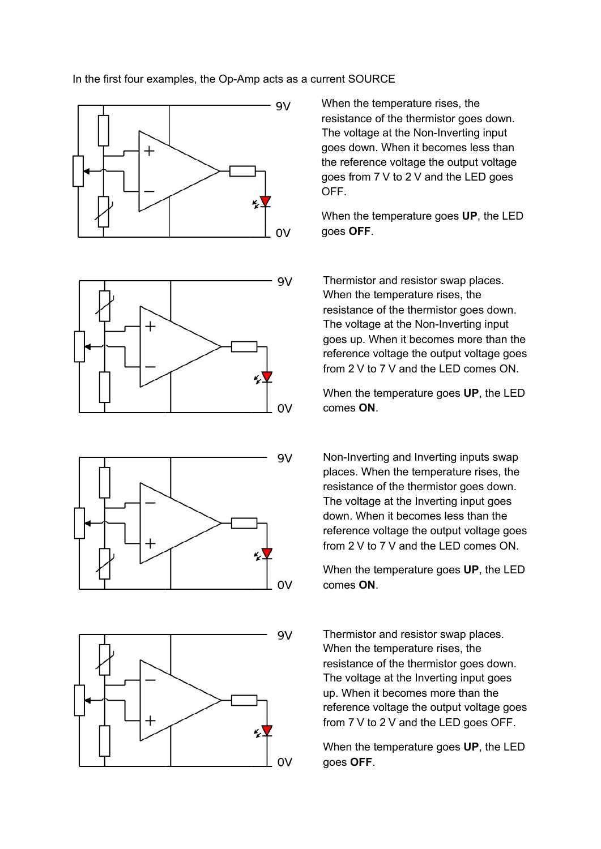#### In the first four examples, the Op-Amp acts as a current SOURCE









When the temperature rises, the resistance of the thermistor goes down. The voltage at the Non-Inverting input goes down. When it becomes less than the reference voltage the output voltage goes from 7 V to 2 V and the LED goes OFF.

When the temperature goes **UP**, the LED goes **OFF**.

Thermistor and resistor swap places. When the temperature rises, the resistance of the thermistor goes down. The voltage at the Non-Inverting input goes up. When it becomes more than the reference voltage the output voltage goes from 2 V to 7 V and the LED comes ON.

When the temperature goes **UP**, the LED comes **ON**.

Non-Inverting and Inverting inputs swap places. When the temperature rises, the resistance of the thermistor goes down. The voltage at the Inverting input goes down. When it becomes less than the reference voltage the output voltage goes from 2 V to 7 V and the LED comes ON.

When the temperature goes **UP**, the LED comes **ON**.

Thermistor and resistor swap places. When the temperature rises, the resistance of the thermistor goes down. The voltage at the Inverting input goes up. When it becomes more than the reference voltage the output voltage goes from 7 V to 2 V and the LED goes OFF.

When the temperature goes **UP**, the LED goes **OFF**.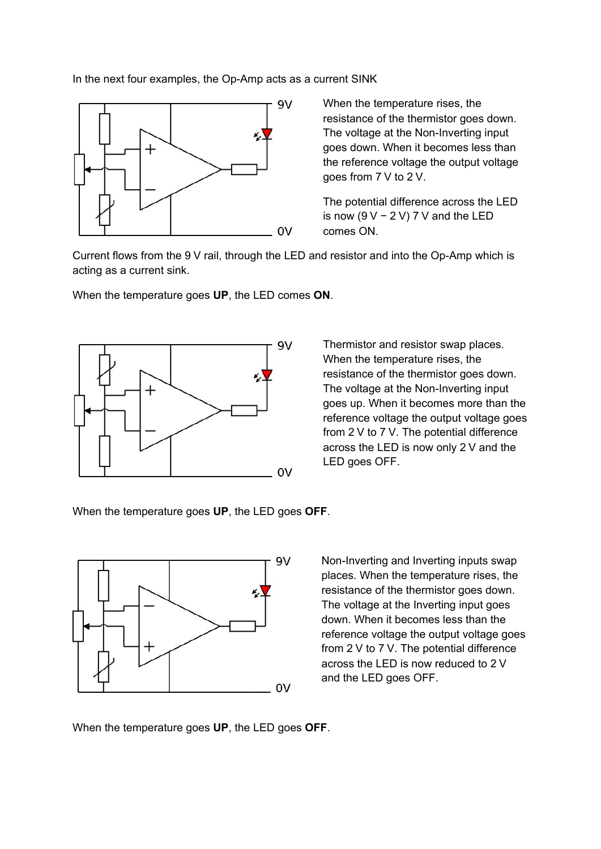In the next four examples, the Op-Amp acts as a current SINK



When the temperature rises, the resistance of the thermistor goes down. The voltage at the Non-Inverting input goes down. When it becomes less than the reference voltage the output voltage goes from 7 V to 2 V.

The potential difference across the LED is now ( $9$  V – 2 V) 7 V and the LED comes ON.

Current flows from the 9 V rail, through the LED and resistor and into the Op-Amp which is acting as a current sink.

When the temperature goes **UP**, the LED comes **ON**.



Thermistor and resistor swap places. When the temperature rises, the resistance of the thermistor goes down. The voltage at the Non-Inverting input goes up. When it becomes more than the reference voltage the output voltage goes from 2 V to 7 V. The potential difference across the LED is now only 2 V and the LED goes OFF.

When the temperature goes **UP**, the LED goes **OFF**.



Non-Inverting and Inverting inputs swap places. When the temperature rises, the resistance of the thermistor goes down. The voltage at the Inverting input goes down. When it becomes less than the reference voltage the output voltage goes from 2 V to 7 V. The potential difference across the LED is now reduced to 2 V and the LED goes OFF.

When the temperature goes **UP**, the LED goes **OFF**.